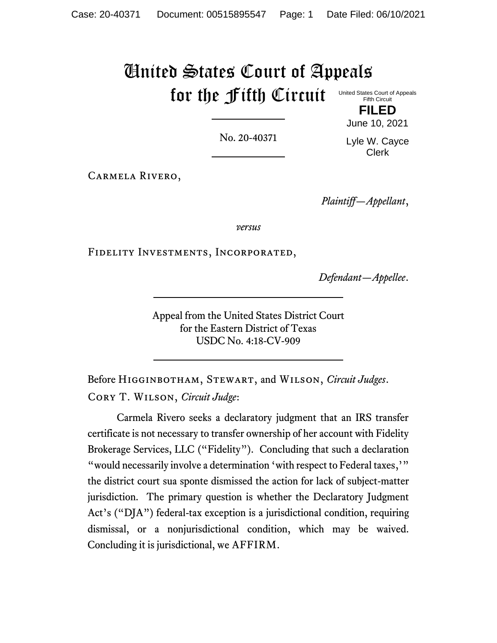# United States Court of Appeals for the Fifth Circuit

No. 20-40371

Lyle W. Cayce Clerk

June 10, 2021

Carmela Rivero,

*Plaintiff—Appellant*,

*versus*

Fidelity Investments, Incorporated,

*Defendant—Appellee*.

Appeal from the United States District Court for the Eastern District of Texas USDC No. 4:18-CV-909

Before Higginbotham, Stewart, and Wilson, *Circuit Judges*. Cory T. Wilson, *Circuit Judge*:

Carmela Rivero seeks a declaratory judgment that an IRS transfer certificate is not necessary to transfer ownership of her account with Fidelity Brokerage Services, LLC ("Fidelity"). Concluding that such a declaration "would necessarily involve a determination 'with respect to Federal taxes,'" the district court sua sponte dismissed the action for lack of subject-matter jurisdiction. The primary question is whether the Declaratory Judgment Act's ("DJA") federal-tax exception is a jurisdictional condition, requiring dismissal, or a nonjurisdictional condition, which may be waived. Concluding it is jurisdictional, we AFFIRM.

United States Court of Appeals Fifth Circuit **FILED**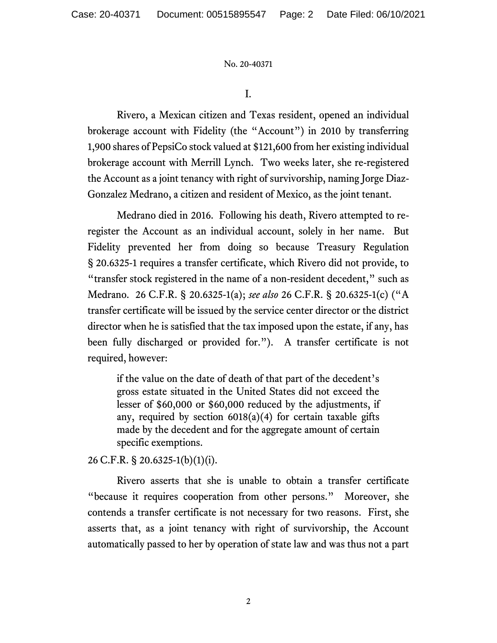I.

Rivero, a Mexican citizen and Texas resident, opened an individual brokerage account with Fidelity (the "Account") in 2010 by transferring 1,900 shares of PepsiCo stock valued at \$121,600 from her existing individual brokerage account with Merrill Lynch. Two weeks later, she re-registered the Account as a joint tenancy with right of survivorship, naming Jorge Diaz-Gonzalez Medrano, a citizen and resident of Mexico, as the joint tenant.

Medrano died in 2016. Following his death, Rivero attempted to reregister the Account as an individual account, solely in her name. But Fidelity prevented her from doing so because Treasury Regulation § 20.6325-1 requires a transfer certificate, which Rivero did not provide, to "transfer stock registered in the name of a non-resident decedent," such as Medrano. 26 C.F.R. § 20.6325-1(a); *see also* 26 C.F.R. § 20.6325-1(c) ("A transfer certificate will be issued by the service center director or the district director when he is satisfied that the tax imposed upon the estate, if any, has been fully discharged or provided for."). A transfer certificate is not required, however:

if the value on the date of death of that part of the decedent's gross estate situated in the United States did not exceed the lesser of \$60,000 or \$60,000 reduced by the adjustments, if any, required by section  $6018(a)(4)$  for certain taxable gifts made by the decedent and for the aggregate amount of certain specific exemptions.

26 C.F.R. § 20.6325-1(b)(1)(i).

Rivero asserts that she is unable to obtain a transfer certificate "because it requires cooperation from other persons." Moreover, she contends a transfer certificate is not necessary for two reasons. First, she asserts that, as a joint tenancy with right of survivorship, the Account automatically passed to her by operation of state law and was thus not a part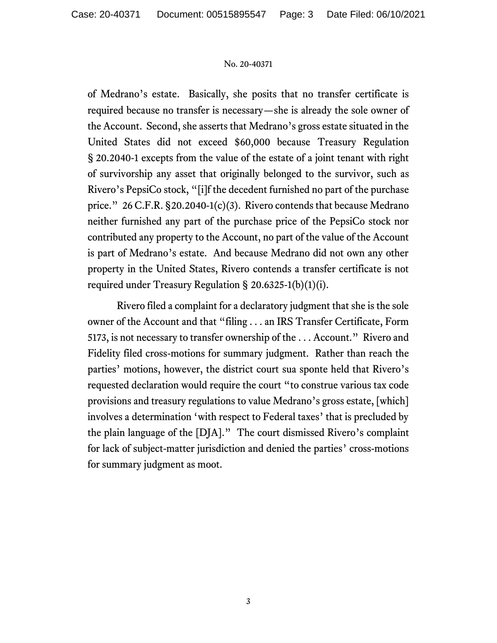of Medrano's estate. Basically, she posits that no transfer certificate is required because no transfer is necessary—she is already the sole owner of the Account. Second, she asserts that Medrano's gross estate situated in the United States did not exceed \$60,000 because Treasury Regulation § 20.2040-1 excepts from the value of the estate of a joint tenant with right of survivorship any asset that originally belonged to the survivor, such as Rivero's PepsiCo stock, "[i]f the decedent furnished no part of the purchase price." 26 C.F.R. §20.2040-1(c)(3). Rivero contends that because Medrano neither furnished any part of the purchase price of the PepsiCo stock nor contributed any property to the Account, no part of the value of the Account is part of Medrano's estate. And because Medrano did not own any other property in the United States, Rivero contends a transfer certificate is not required under Treasury Regulation § 20.6325-1(b)(1)(i).

Rivero filed a complaint for a declaratory judgment that she is the sole owner of the Account and that "filing . . . an IRS Transfer Certificate, Form 5173, is not necessary to transfer ownership of the . . . Account." Rivero and Fidelity filed cross-motions for summary judgment. Rather than reach the parties' motions, however, the district court sua sponte held that Rivero's requested declaration would require the court "to construe various tax code provisions and treasury regulations to value Medrano's gross estate, [which] involves a determination 'with respect to Federal taxes' that is precluded by the plain language of the [DJA]." The court dismissed Rivero's complaint for lack of subject-matter jurisdiction and denied the parties' cross-motions for summary judgment as moot.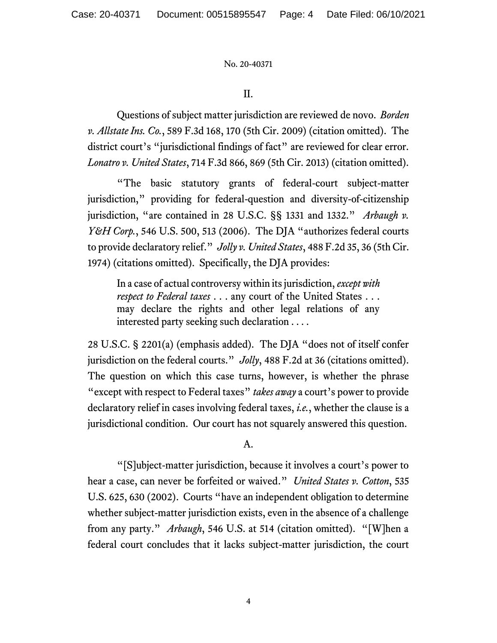II.

Questions of subject matter jurisdiction are reviewed de novo. *Borden v. Allstate Ins. Co.*, 589 F.3d 168, 170 (5th Cir. 2009) (citation omitted). The district court's "jurisdictional findings of fact" are reviewed for clear error. *Lonatro v. United States*, 714 F.3d 866, 869 (5th Cir. 2013) (citation omitted).

"The basic statutory grants of federal-court subject-matter jurisdiction," providing for federal-question and diversity-of-citizenship jurisdiction, "are contained in 28 U.S.C. §§ 1331 and 1332." *Arbaugh v. Y&H Corp.*, 546 U.S. 500, 513 (2006). The DJA "authorizes federal courts to provide declaratory relief." *Jolly v. United States*, 488 F.2d 35, 36 (5th Cir. 1974) (citations omitted). Specifically, the DJA provides:

In a case of actual controversy within its jurisdiction, *except with respect to Federal taxes* . . . any court of the United States . . . may declare the rights and other legal relations of any interested party seeking such declaration . . . .

28 U.S.C. § 2201(a) (emphasis added). The DJA "does not of itself confer jurisdiction on the federal courts." *Jolly*, 488 F.2d at 36 (citations omitted). The question on which this case turns, however, is whether the phrase "except with respect to Federal taxes" *takes away* a court's power to provide declaratory relief in cases involving federal taxes, *i.e.*, whether the clause is a jurisdictional condition. Our court has not squarely answered this question.

A.

"[S]ubject-matter jurisdiction, because it involves a court's power to hear a case, can never be forfeited or waived." *United States v. Cotton*, 535 U.S. 625, 630 (2002). Courts "have an independent obligation to determine whether subject-matter jurisdiction exists, even in the absence of a challenge from any party." *Arbaugh*, 546 U.S. at 514 (citation omitted). "[W]hen a federal court concludes that it lacks subject-matter jurisdiction, the court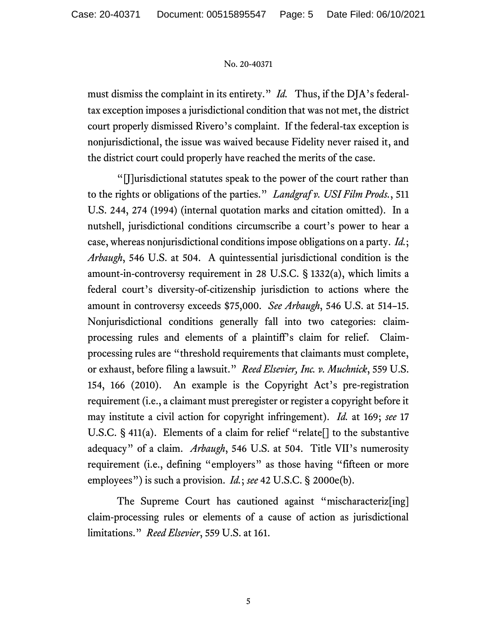must dismiss the complaint in its entirety." *Id.* Thus, if the DJA's federaltax exception imposes a jurisdictional condition that was not met, the district court properly dismissed Rivero's complaint. If the federal-tax exception is nonjurisdictional, the issue was waived because Fidelity never raised it, and the district court could properly have reached the merits of the case.

"[J]urisdictional statutes speak to the power of the court rather than to the rights or obligations of the parties." *Landgraf v. USI Film Prods.*, 511 U.S. 244, 274 (1994) (internal quotation marks and citation omitted). In a nutshell, jurisdictional conditions circumscribe a court's power to hear a case, whereas nonjurisdictional conditionsimpose obligations on a party. *Id.*; *Arbaugh*, 546 U.S. at 504. A quintessential jurisdictional condition is the amount-in-controversy requirement in 28 U.S.C. § 1332(a), which limits a federal court's diversity-of-citizenship jurisdiction to actions where the amount in controversy exceeds \$75,000. *See Arbaugh*, 546 U.S. at 514–15. Nonjurisdictional conditions generally fall into two categories: claimprocessing rules and elements of a plaintiff's claim for relief. Claimprocessing rules are "threshold requirements that claimants must complete, or exhaust, before filing a lawsuit." *Reed Elsevier, Inc. v. Muchnick*, 559 U.S. 154, 166 (2010). An example is the Copyright Act's pre-registration requirement (i.e., a claimant must preregister or register a copyright before it may institute a civil action for copyright infringement). *Id.* at 169; *see* 17 U.S.C.  $\S$  411(a). Elements of a claim for relief "relate<sup>[]</sup> to the substantive adequacy" of a claim. *Arbaugh*, 546 U.S. at 504. Title VII's numerosity requirement (i.e., defining "employers" as those having "fifteen or more employees") is such a provision. *Id.*; *see* 42 U.S.C. § 2000e(b).

The Supreme Court has cautioned against "mischaracteriz[ing] claim-processing rules or elements of a cause of action as jurisdictional limitations." *Reed Elsevier*, 559 U.S. at 161.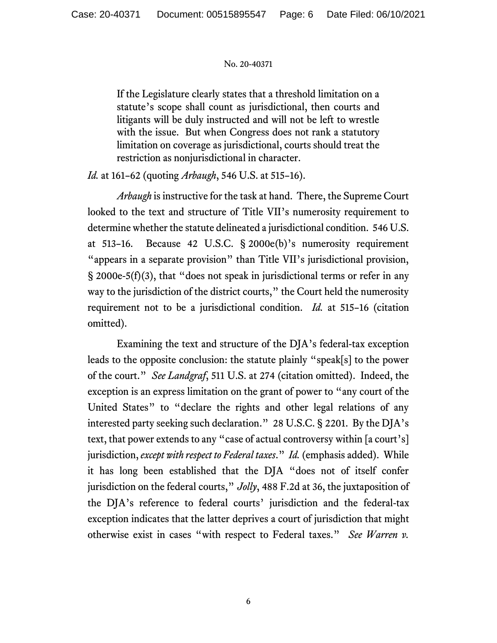If the Legislature clearly states that a threshold limitation on a statute's scope shall count as jurisdictional, then courts and litigants will be duly instructed and will not be left to wrestle with the issue. But when Congress does not rank a statutory limitation on coverage as jurisdictional, courts should treat the restriction as nonjurisdictional in character.

*Id.* at 161–62 (quoting *Arbaugh*, 546 U.S. at 515–16).

*Arbaugh* is instructive for the task at hand. There, the Supreme Court looked to the text and structure of Title VII's numerosity requirement to determine whether the statute delineated a jurisdictional condition. 546 U.S. at 513–16. Because 42 U.S.C. § 2000e(b)'s numerosity requirement "appears in a separate provision" than Title VII's jurisdictional provision,  $\S$  2000e-5(f)(3), that "does not speak in jurisdictional terms or refer in any way to the jurisdiction of the district courts," the Court held the numerosity requirement not to be a jurisdictional condition. *Id.* at 515–16 (citation omitted).

Examining the text and structure of the DJA's federal-tax exception leads to the opposite conclusion: the statute plainly "speak[s] to the power of the court." *See Landgraf*, 511 U.S. at 274 (citation omitted). Indeed, the exception is an express limitation on the grant of power to "any court of the United States" to "declare the rights and other legal relations of any interested party seeking such declaration." 28 U.S.C. § 2201. By the DJA's text, that power extends to any "case of actual controversy within [a court's] jurisdiction, *except with respect to Federal taxes*." *Id.* (emphasis added). While it has long been established that the DJA "does not of itself confer jurisdiction on the federal courts," *Jolly*, 488 F.2d at 36, the juxtaposition of the DJA's reference to federal courts' jurisdiction and the federal-tax exception indicates that the latter deprives a court of jurisdiction that might otherwise exist in cases "with respect to Federal taxes." *See Warren v.*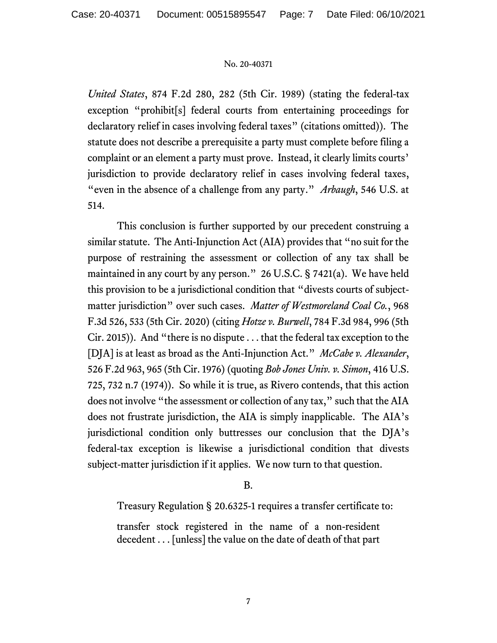*United States*, 874 F.2d 280, 282 (5th Cir. 1989) (stating the federal-tax exception "prohibit[s] federal courts from entertaining proceedings for declaratory relief in cases involving federal taxes" (citations omitted)). The statute does not describe a prerequisite a party must complete before filing a complaint or an element a party must prove. Instead, it clearly limits courts' jurisdiction to provide declaratory relief in cases involving federal taxes, "even in the absence of a challenge from any party." *Arbaugh*, 546 U.S. at 514.

This conclusion is further supported by our precedent construing a similar statute. The Anti-Injunction Act (AIA) provides that "no suit for the purpose of restraining the assessment or collection of any tax shall be maintained in any court by any person." 26 U.S.C. § 7421(a). We have held this provision to be a jurisdictional condition that "divests courts of subjectmatter jurisdiction" over such cases. *Matter of Westmoreland Coal Co.*, 968 F.3d 526, 533 (5th Cir. 2020) (citing *Hotze v. Burwell*, 784 F.3d 984, 996 (5th Cir. 2015)). And "there is no dispute . . . that the federal tax exception to the [DJA] is at least as broad as the Anti-Injunction Act." *McCabe v. Alexander*, 526 F.2d 963, 965 (5th Cir. 1976) (quoting *Bob Jones Univ. v. Simon*, 416 U.S. 725, 732 n.7 (1974)). So while it is true, as Rivero contends, that this action does not involve "the assessment or collection of any tax," such that the AIA does not frustrate jurisdiction, the AIA is simply inapplicable. The AIA's jurisdictional condition only buttresses our conclusion that the DJA's federal-tax exception is likewise a jurisdictional condition that divests subject-matter jurisdiction if it applies. We now turn to that question.

B.

Treasury Regulation § 20.6325-1 requires a transfer certificate to:

transfer stock registered in the name of a non-resident decedent . . . [unless] the value on the date of death of that part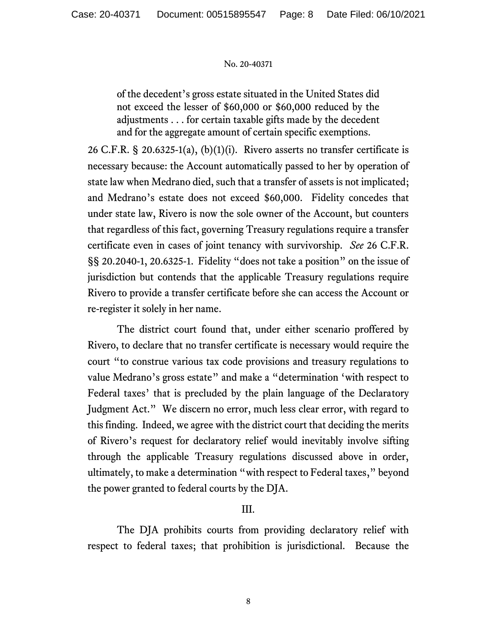of the decedent's gross estate situated in the United States did not exceed the lesser of \$60,000 or \$60,000 reduced by the adjustments . . . for certain taxable gifts made by the decedent and for the aggregate amount of certain specific exemptions.

26 C.F.R. § 20.6325-1(a), (b)(1)(i). Rivero asserts no transfer certificate is necessary because: the Account automatically passed to her by operation of state law when Medrano died, such that a transfer of assets is not implicated; and Medrano's estate does not exceed \$60,000. Fidelity concedes that under state law, Rivero is now the sole owner of the Account, but counters that regardless of this fact, governing Treasury regulations require a transfer certificate even in cases of joint tenancy with survivorship. *See* 26 C.F.R. §§ 20.2040-1, 20.6325-1. Fidelity "does not take a position" on the issue of jurisdiction but contends that the applicable Treasury regulations require Rivero to provide a transfer certificate before she can access the Account or re-register it solely in her name.

The district court found that, under either scenario proffered by Rivero, to declare that no transfer certificate is necessary would require the court "to construe various tax code provisions and treasury regulations to value Medrano's gross estate" and make a "determination 'with respect to Federal taxes' that is precluded by the plain language of the Declaratory Judgment Act." We discern no error, much less clear error, with regard to this finding. Indeed, we agree with the district court that deciding the merits of Rivero's request for declaratory relief would inevitably involve sifting through the applicable Treasury regulations discussed above in order, ultimately, to make a determination "with respect to Federal taxes," beyond the power granted to federal courts by the DJA.

# III.

The DJA prohibits courts from providing declaratory relief with respect to federal taxes; that prohibition is jurisdictional. Because the